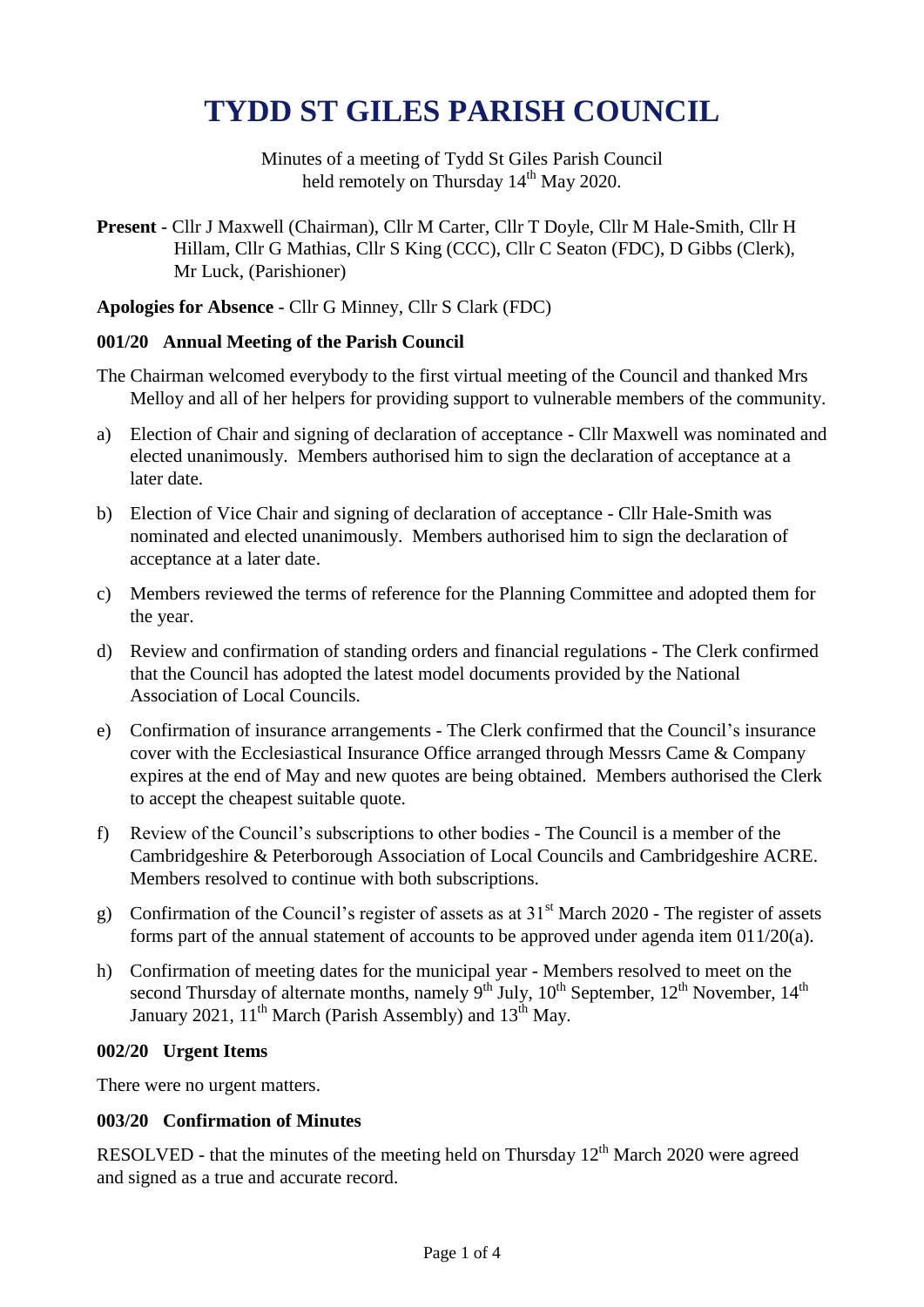# **TYDD ST GILES PARISH COUNCIL**

Minutes of a meeting of Tydd St Giles Parish Council held remotely on Thursday 14<sup>th</sup> May 2020.

**Present** - Cllr J Maxwell (Chairman), Cllr M Carter, Cllr T Doyle, Cllr M Hale-Smith, Cllr H Hillam, Cllr G Mathias, Cllr S King (CCC), Cllr C Seaton (FDC), D Gibbs (Clerk), Mr Luck, (Parishioner)

## **Apologies for Absence** - Cllr G Minney, Cllr S Clark (FDC)

## **001/20 Annual Meeting of the Parish Council**

- The Chairman welcomed everybody to the first virtual meeting of the Council and thanked Mrs Melloy and all of her helpers for providing support to vulnerable members of the community.
- a) Election of Chair and signing of declaration of acceptance Cllr Maxwell was nominated and elected unanimously. Members authorised him to sign the declaration of acceptance at a later date.
- b) Election of Vice Chair and signing of declaration of acceptance Cllr Hale-Smith was nominated and elected unanimously. Members authorised him to sign the declaration of acceptance at a later date.
- c) Members reviewed the terms of reference for the Planning Committee and adopted them for the year.
- d) Review and confirmation of standing orders and financial regulations The Clerk confirmed that the Council has adopted the latest model documents provided by the National Association of Local Councils.
- e) Confirmation of insurance arrangements The Clerk confirmed that the Council's insurance cover with the Ecclesiastical Insurance Office arranged through Messrs Came & Company expires at the end of May and new quotes are being obtained. Members authorised the Clerk to accept the cheapest suitable quote.
- f) Review of the Council's subscriptions to other bodies The Council is a member of the Cambridgeshire & Peterborough Association of Local Councils and Cambridgeshire ACRE. Members resolved to continue with both subscriptions.
- g) Confirmation of the Council's register of assets as at  $31<sup>st</sup>$  March 2020 The register of assets forms part of the annual statement of accounts to be approved under agenda item 011/20(a).
- h) Confirmation of meeting dates for the municipal year Members resolved to meet on the second Thursday of alternate months, namely  $9<sup>th</sup>$  July,  $10<sup>th</sup>$  September,  $12<sup>th</sup>$  November,  $14<sup>th</sup>$ January 2021, 11<sup>th</sup> March (Parish Assembly) and 13<sup>th</sup> May.

## **002/20 Urgent Items**

There were no urgent matters.

# **003/20 Confirmation of Minutes**

RESOLVED - that the minutes of the meeting held on Thursday  $12<sup>th</sup>$  March 2020 were agreed and signed as a true and accurate record.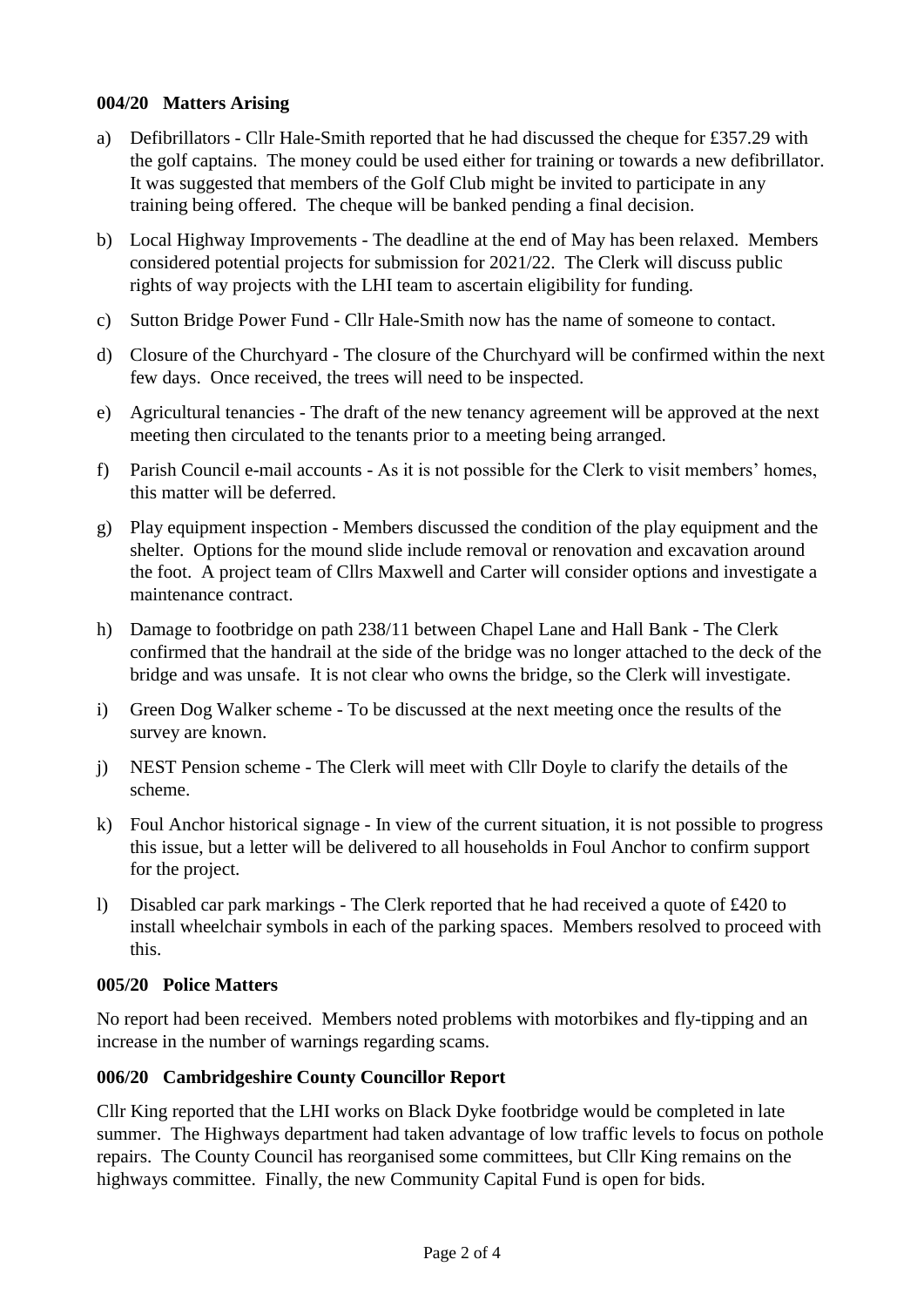# **004/20 Matters Arising**

- a) Defibrillators Cllr Hale-Smith reported that he had discussed the cheque for £357.29 with the golf captains. The money could be used either for training or towards a new defibrillator. It was suggested that members of the Golf Club might be invited to participate in any training being offered. The cheque will be banked pending a final decision.
- b) Local Highway Improvements The deadline at the end of May has been relaxed. Members considered potential projects for submission for 2021/22. The Clerk will discuss public rights of way projects with the LHI team to ascertain eligibility for funding.
- c) Sutton Bridge Power Fund Cllr Hale-Smith now has the name of someone to contact.
- d) Closure of the Churchyard The closure of the Churchyard will be confirmed within the next few days. Once received, the trees will need to be inspected.
- e) Agricultural tenancies The draft of the new tenancy agreement will be approved at the next meeting then circulated to the tenants prior to a meeting being arranged.
- f) Parish Council e-mail accounts As it is not possible for the Clerk to visit members' homes, this matter will be deferred.
- g) Play equipment inspection Members discussed the condition of the play equipment and the shelter. Options for the mound slide include removal or renovation and excavation around the foot. A project team of Cllrs Maxwell and Carter will consider options and investigate a maintenance contract.
- h) Damage to footbridge on path 238/11 between Chapel Lane and Hall Bank The Clerk confirmed that the handrail at the side of the bridge was no longer attached to the deck of the bridge and was unsafe. It is not clear who owns the bridge, so the Clerk will investigate.
- i) Green Dog Walker scheme To be discussed at the next meeting once the results of the survey are known.
- j) NEST Pension scheme The Clerk will meet with Cllr Doyle to clarify the details of the scheme.
- k) Foul Anchor historical signage In view of the current situation, it is not possible to progress this issue, but a letter will be delivered to all households in Foul Anchor to confirm support for the project.
- l) Disabled car park markings The Clerk reported that he had received a quote of £420 to install wheelchair symbols in each of the parking spaces. Members resolved to proceed with this.

# **005/20 Police Matters**

No report had been received. Members noted problems with motorbikes and fly-tipping and an increase in the number of warnings regarding scams.

# **006/20 Cambridgeshire County Councillor Report**

Cllr King reported that the LHI works on Black Dyke footbridge would be completed in late summer. The Highways department had taken advantage of low traffic levels to focus on pothole repairs. The County Council has reorganised some committees, but Cllr King remains on the highways committee. Finally, the new Community Capital Fund is open for bids.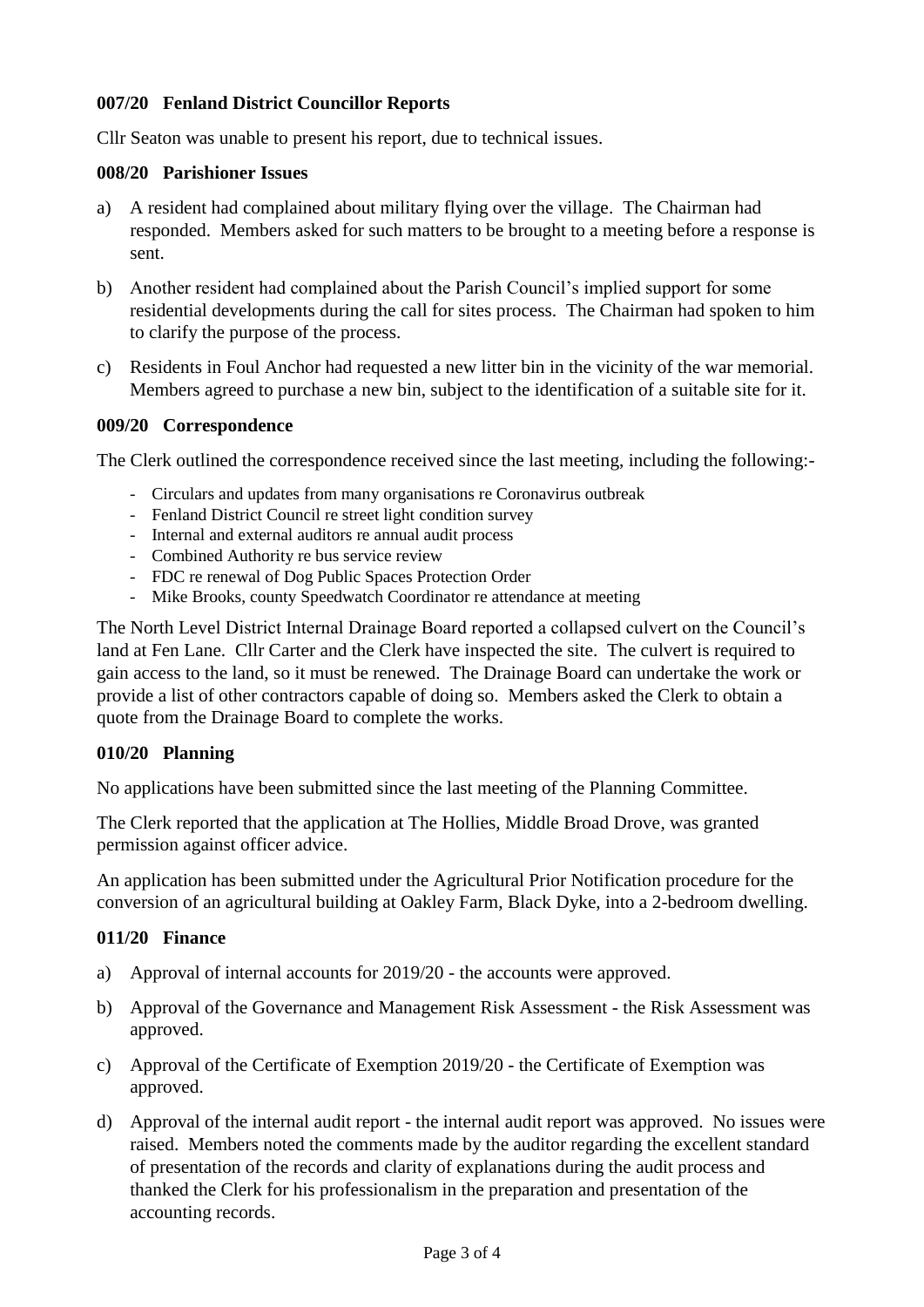# **007/20 Fenland District Councillor Reports**

Cllr Seaton was unable to present his report, due to technical issues.

## **008/20 Parishioner Issues**

- a) A resident had complained about military flying over the village. The Chairman had responded. Members asked for such matters to be brought to a meeting before a response is sent.
- b) Another resident had complained about the Parish Council's implied support for some residential developments during the call for sites process. The Chairman had spoken to him to clarify the purpose of the process.
- c) Residents in Foul Anchor had requested a new litter bin in the vicinity of the war memorial. Members agreed to purchase a new bin, subject to the identification of a suitable site for it.

# **009/20 Correspondence**

The Clerk outlined the correspondence received since the last meeting, including the following:-

- Circulars and updates from many organisations re Coronavirus outbreak
- Fenland District Council re street light condition survey
- Internal and external auditors re annual audit process
- Combined Authority re bus service review
- FDC re renewal of Dog Public Spaces Protection Order
- Mike Brooks, county Speedwatch Coordinator re attendance at meeting

The North Level District Internal Drainage Board reported a collapsed culvert on the Council's land at Fen Lane. Cllr Carter and the Clerk have inspected the site. The culvert is required to gain access to the land, so it must be renewed. The Drainage Board can undertake the work or provide a list of other contractors capable of doing so. Members asked the Clerk to obtain a quote from the Drainage Board to complete the works.

# **010/20 Planning**

No applications have been submitted since the last meeting of the Planning Committee.

The Clerk reported that the application at The Hollies, Middle Broad Drove, was granted permission against officer advice.

An application has been submitted under the Agricultural Prior Notification procedure for the conversion of an agricultural building at Oakley Farm, Black Dyke, into a 2-bedroom dwelling.

# **011/20 Finance**

- a) Approval of internal accounts for 2019/20 the accounts were approved.
- b) Approval of the Governance and Management Risk Assessment the Risk Assessment was approved.
- c) Approval of the Certificate of Exemption 2019/20 the Certificate of Exemption was approved.
- d) Approval of the internal audit report the internal audit report was approved. No issues were raised. Members noted the comments made by the auditor regarding the excellent standard of presentation of the records and clarity of explanations during the audit process and thanked the Clerk for his professionalism in the preparation and presentation of the accounting records.